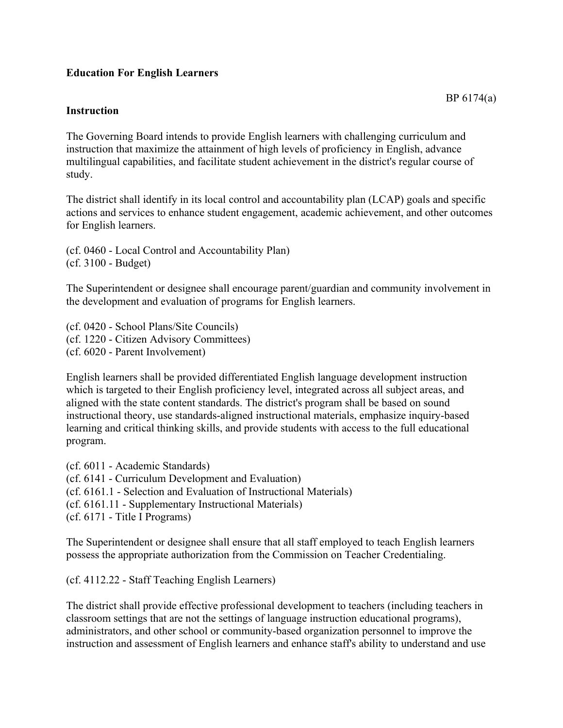### **Education For English Learners**

#### **Instruction**

The Governing Board intends to provide English learners with challenging curriculum and instruction that maximize the attainment of high levels of proficiency in English, advance multilingual capabilities, and facilitate student achievement in the district's regular course of study.

The district shall identify in its local control and accountability plan (LCAP) goals and specific actions and services to enhance student engagement, academic achievement, and other outcomes for English learners.

(cf. 0460 - Local Control and Accountability Plan) (cf. 3100 - Budget)

The Superintendent or designee shall encourage parent/guardian and community involvement in the development and evaluation of programs for English learners.

(cf. 0420 - School Plans/Site Councils) (cf. 1220 - Citizen Advisory Committees) (cf. 6020 - Parent Involvement)

English learners shall be provided differentiated English language development instruction which is targeted to their English proficiency level, integrated across all subject areas, and aligned with the state content standards. The district's program shall be based on sound instructional theory, use standards-aligned instructional materials, emphasize inquiry-based learning and critical thinking skills, and provide students with access to the full educational program.

(cf. 6011 - Academic Standards) (cf. 6141 - Curriculum Development and Evaluation) (cf. 6161.1 - Selection and Evaluation of Instructional Materials) (cf. 6161.11 - Supplementary Instructional Materials) (cf. 6171 - Title I Programs)

The Superintendent or designee shall ensure that all staff employed to teach English learners possess the appropriate authorization from the Commission on Teacher Credentialing.

(cf. 4112.22 - Staff Teaching English Learners)

The district shall provide effective professional development to teachers (including teachers in classroom settings that are not the settings of language instruction educational programs), administrators, and other school or community-based organization personnel to improve the instruction and assessment of English learners and enhance staff's ability to understand and use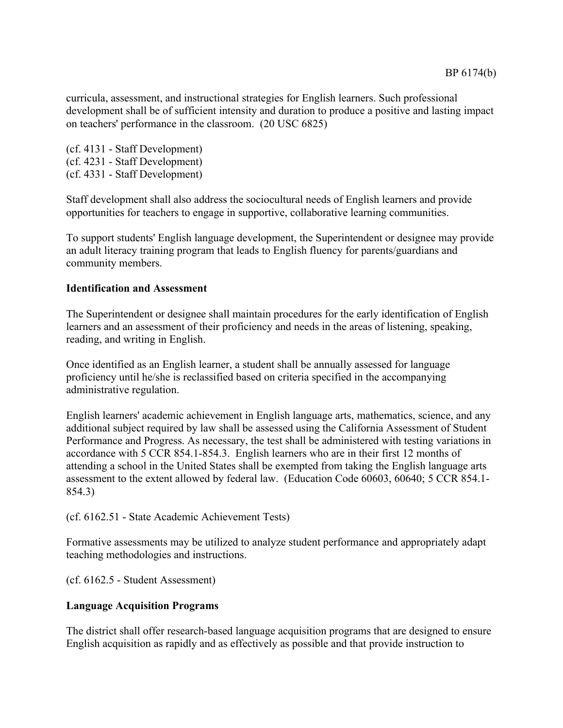curricula, assessment, and instructional strategies for English learners. Such professional development shall be of sufficient intensity and duration to produce a positive and lasting impact on teachers' performance in the classroom. (20 USC 6825)

(cf. 4131 - Staff Development) (cf. 4231 - Staff Development) (cf. 4331 - Staff Development)

Staff development shall also address the sociocultural needs of English learners and provide opportunities for teachers to engage in supportive, collaborative learning communities.

To support students' English language development, the Superintendent or designee may provide an adult literacy training program that leads to English fluency for parents/guardians and community members.

### **Identification and Assessment**

The Superintendent or designee shall maintain procedures for the early identification of English learners and an assessment of their proficiency and needs in the areas of listening, speaking, reading, and writing in English.

Once identified as an English learner, a student shall be annually assessed for language proficiency until he/she is reclassified based on criteria specified in the accompanying administrative regulation.

English learners' academic achievement in English language arts, mathematics, science, and any additional subject required by law shall be assessed using the California Assessment of Student Performance and Progress. As necessary, the test shall be administered with testing variations in accordance with 5 CCR 854.1-854.3. English learners who are in their first 12 months of attending a school in the United States shall be exempted from taking the English language arts assessment to the extent allowed by federal law. (Education Code 60603, 60640; 5 CCR 854.1- 854.3)

(cf. 6162.51 - State Academic Achievement Tests)

Formative assessments may be utilized to analyze student performance and appropriately adapt teaching methodologies and instructions.

(cf. 6162.5 - Student Assessment)

### **Language Acquisition Programs**

The district shall offer research-based language acquisition programs that are designed to ensure English acquisition as rapidly and as effectively as possible and that provide instruction to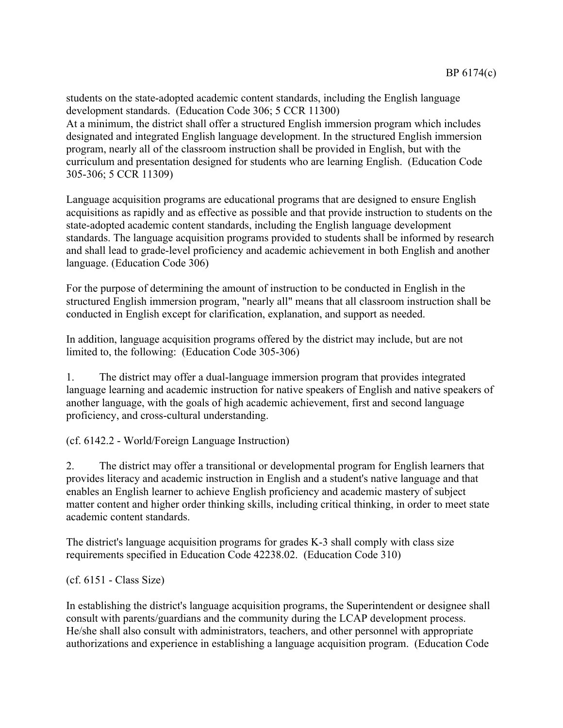students on the state-adopted academic content standards, including the English language development standards. (Education Code 306; 5 CCR 11300) At a minimum, the district shall offer a structured English immersion program which includes designated and integrated English language development. In the structured English immersion program, nearly all of the classroom instruction shall be provided in English, but with the curriculum and presentation designed for students who are learning English. (Education Code 305-306; 5 CCR 11309)

Language acquisition programs are educational programs that are designed to ensure English acquisitions as rapidly and as effective as possible and that provide instruction to students on the state-adopted academic content standards, including the English language development standards. The language acquisition programs provided to students shall be informed by research and shall lead to grade-level proficiency and academic achievement in both English and another language. (Education Code 306)

For the purpose of determining the amount of instruction to be conducted in English in the structured English immersion program, "nearly all" means that all classroom instruction shall be conducted in English except for clarification, explanation, and support as needed.

In addition, language acquisition programs offered by the district may include, but are not limited to, the following: (Education Code 305-306)

1. The district may offer a dual-language immersion program that provides integrated language learning and academic instruction for native speakers of English and native speakers of another language, with the goals of high academic achievement, first and second language proficiency, and cross-cultural understanding.

(cf. 6142.2 - World/Foreign Language Instruction)

2. The district may offer a transitional or developmental program for English learners that provides literacy and academic instruction in English and a student's native language and that enables an English learner to achieve English proficiency and academic mastery of subject matter content and higher order thinking skills, including critical thinking, in order to meet state academic content standards.

The district's language acquisition programs for grades K-3 shall comply with class size requirements specified in Education Code 42238.02. (Education Code 310)

(cf. 6151 - Class Size)

In establishing the district's language acquisition programs, the Superintendent or designee shall consult with parents/guardians and the community during the LCAP development process. He/she shall also consult with administrators, teachers, and other personnel with appropriate authorizations and experience in establishing a language acquisition program. (Education Code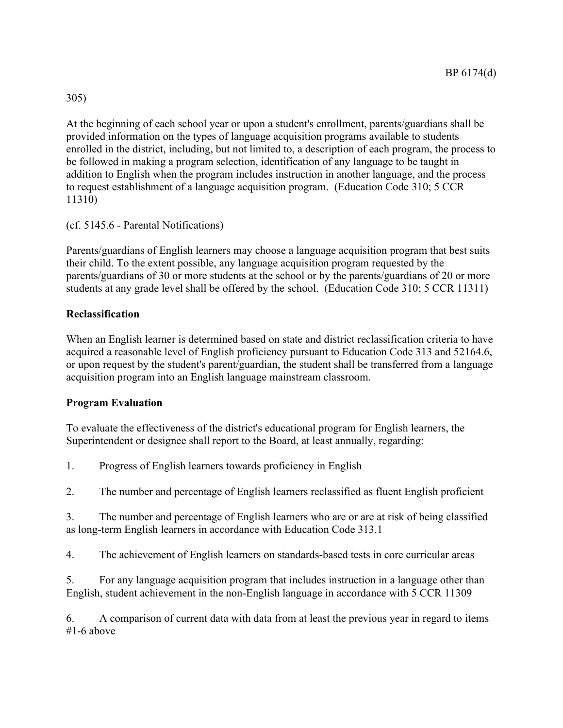# 305)

At the beginning of each school year or upon a student's enrollment, parents/guardians shall be provided information on the types of language acquisition programs available to students enrolled in the district, including, but not limited to, a description of each program, the process to be followed in making a program selection, identification of any language to be taught in addition to English when the program includes instruction in another language, and the process to request establishment of a language acquisition program. (Education Code 310; 5 CCR 11310)

# (cf. 5145.6 - Parental Notifications)

Parents/guardians of English learners may choose a language acquisition program that best suits their child. To the extent possible, any language acquisition program requested by the parents/guardians of 30 or more students at the school or by the parents/guardians of 20 or more students at any grade level shall be offered by the school. (Education Code 310; 5 CCR 11311)

## **Reclassification**

When an English learner is determined based on state and district reclassification criteria to have acquired a reasonable level of English proficiency pursuant to Education Code 313 and 52164.6, or upon request by the student's parent/guardian, the student shall be transferred from a language acquisition program into an English language mainstream classroom.

## **Program Evaluation**

To evaluate the effectiveness of the district's educational program for English learners, the Superintendent or designee shall report to the Board, at least annually, regarding:

1. Progress of English learners towards proficiency in English

2. The number and percentage of English learners reclassified as fluent English proficient

3. The number and percentage of English learners who are or are at risk of being classified as long-term English learners in accordance with Education Code 313.1

4. The achievement of English learners on standards-based tests in core curricular areas

5. For any language acquisition program that includes instruction in a language other than English, student achievement in the non-English language in accordance with 5 CCR 11309

6. A comparison of current data with data from at least the previous year in regard to items #1-6 above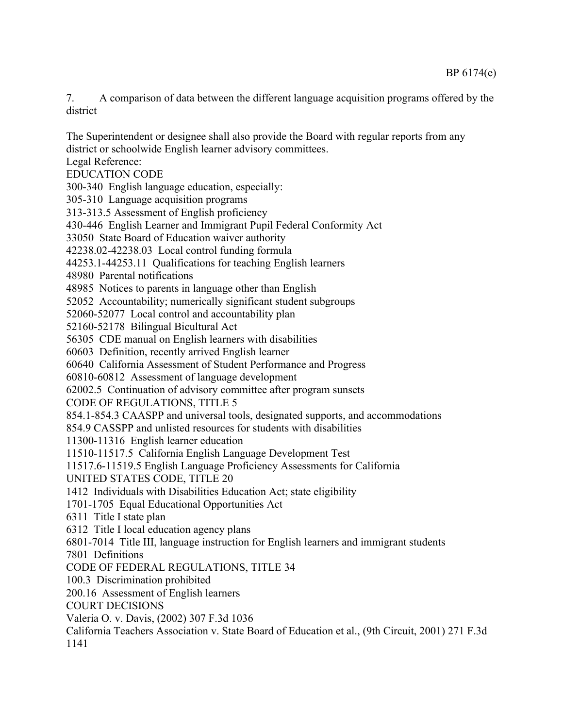7. A comparison of data between the different language acquisition programs offered by the district

The Superintendent or designee shall also provide the Board with regular reports from any district or schoolwide English learner advisory committees.

Legal Reference:

EDUCATION CODE

300-340 English language education, especially:

305-310 Language acquisition programs

313-313.5 Assessment of English proficiency

430-446 English Learner and Immigrant Pupil Federal Conformity Act

33050 State Board of Education waiver authority

42238.02-42238.03 Local control funding formula

44253.1-44253.11 Qualifications for teaching English learners

48980 Parental notifications

48985 Notices to parents in language other than English

52052 Accountability; numerically significant student subgroups

52060-52077 Local control and accountability plan

52160-52178 Bilingual Bicultural Act

56305 CDE manual on English learners with disabilities

60603 Definition, recently arrived English learner

60640 California Assessment of Student Performance and Progress

60810-60812 Assessment of language development

62002.5 Continuation of advisory committee after program sunsets

CODE OF REGULATIONS, TITLE 5

854.1-854.3 CAASPP and universal tools, designated supports, and accommodations

854.9 CASSPP and unlisted resources for students with disabilities

11300-11316 English learner education

11510-11517.5 California English Language Development Test

11517.6-11519.5 English Language Proficiency Assessments for California

UNITED STATES CODE, TITLE 20

1412 Individuals with Disabilities Education Act; state eligibility

1701-1705 Equal Educational Opportunities Act

6311 Title I state plan

6312 Title I local education agency plans

6801-7014 Title III, language instruction for English learners and immigrant students

7801 Definitions

CODE OF FEDERAL REGULATIONS, TITLE 34

100.3 Discrimination prohibited

200.16 Assessment of English learners

COURT DECISIONS

Valeria O. v. Davis, (2002) 307 F.3d 1036

California Teachers Association v. State Board of Education et al., (9th Circuit, 2001) 271 F.3d 1141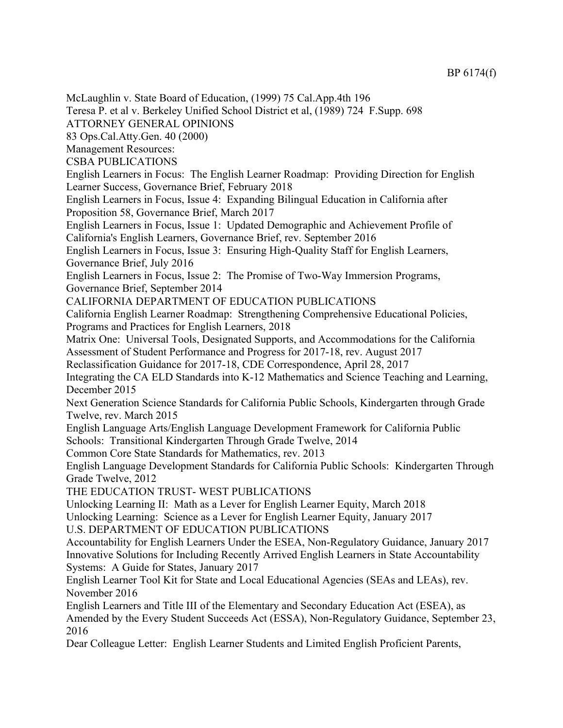McLaughlin v. State Board of Education, (1999) 75 Cal.App.4th 196 Teresa P. et al v. Berkeley Unified School District et al, (1989) 724 F.Supp. 698 ATTORNEY GENERAL OPINIONS 83 Ops.Cal.Atty.Gen. 40 (2000) Management Resources: CSBA PUBLICATIONS English Learners in Focus: The English Learner Roadmap: Providing Direction for English Learner Success, Governance Brief, February 2018 English Learners in Focus, Issue 4: Expanding Bilingual Education in California after Proposition 58, Governance Brief, March 2017 English Learners in Focus, Issue 1: Updated Demographic and Achievement Profile of California's English Learners, Governance Brief, rev. September 2016 English Learners in Focus, Issue 3: Ensuring High-Quality Staff for English Learners, Governance Brief, July 2016 English Learners in Focus, Issue 2: The Promise of Two-Way Immersion Programs, Governance Brief, September 2014 CALIFORNIA DEPARTMENT OF EDUCATION PUBLICATIONS California English Learner Roadmap: Strengthening Comprehensive Educational Policies, Programs and Practices for English Learners, 2018 Matrix One: Universal Tools, Designated Supports, and Accommodations for the California Assessment of Student Performance and Progress for 2017-18, rev. August 2017 Reclassification Guidance for 2017-18, CDE Correspondence, April 28, 2017 Integrating the CA ELD Standards into K-12 Mathematics and Science Teaching and Learning, December 2015 Next Generation Science Standards for California Public Schools, Kindergarten through Grade Twelve, rev. March 2015 English Language Arts/English Language Development Framework for California Public Schools: Transitional Kindergarten Through Grade Twelve, 2014 Common Core State Standards for Mathematics, rev. 2013 English Language Development Standards for California Public Schools: Kindergarten Through Grade Twelve, 2012 THE EDUCATION TRUST- WEST PUBLICATIONS Unlocking Learning II: Math as a Lever for English Learner Equity, March 2018 Unlocking Learning: Science as a Lever for English Learner Equity, January 2017 U.S. DEPARTMENT OF EDUCATION PUBLICATIONS Accountability for English Learners Under the ESEA, Non-Regulatory Guidance, January 2017 Innovative Solutions for Including Recently Arrived English Learners in State Accountability Systems: A Guide for States, January 2017 English Learner Tool Kit for State and Local Educational Agencies (SEAs and LEAs), rev. November 2016 English Learners and Title III of the Elementary and Secondary Education Act (ESEA), as Amended by the Every Student Succeeds Act (ESSA), Non-Regulatory Guidance, September 23, 2016 Dear Colleague Letter: English Learner Students and Limited English Proficient Parents,